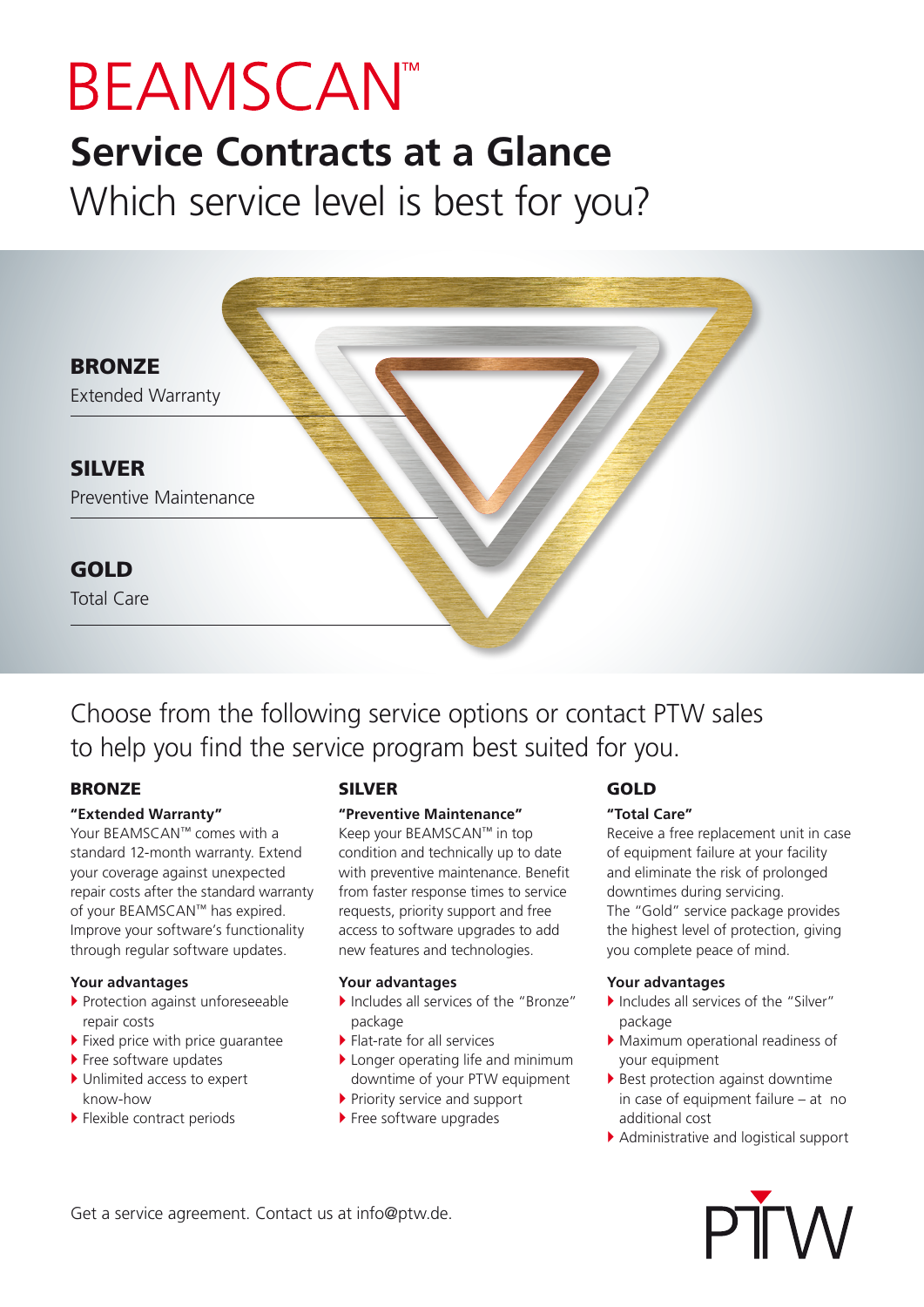# **BEAMSCANT**

### **Service Contracts at a Glance** Which service level is best for you?



Choose from the following service options or contact PTW sales to help you find the service program best suited for you.

#### **BRONZE**

#### **"Extended Warranty"**

Your BEAMSCAN™ comes with a standard 12-month warranty. Extend your coverage against unexpected repair costs after the standard warranty of your BEAMSCAN™ has expired. Improve your software's functionality through regular software updates.

#### **Your advantages**

- ▶ Protection against unforeseeable repair costs
- $\blacktriangleright$  Fixed price with price guarantee
- $\blacktriangleright$  Free software updates
- ▶ Unlimited access to expert know-how
- $\blacktriangleright$  Flexible contract periods

#### SILVER

#### **"Preventive Maintenance"**

Keep your BEAMSCAN™ in top condition and technically up to date with preventive maintenance. Benefit from faster response times to service requests, priority support and free access to software upgrades to add new features and technologies.

#### **Your advantages**

- Includes all services of the "Bronze" package
- $\blacktriangleright$  Flat-rate for all services
- $\blacktriangleright$  Longer operating life and minimum downtime of your PTW equipment
- $\blacktriangleright$  Priority service and support
- ▶ Free software upgrades

#### GOLD

#### **"Total Care"**

Receive a free replacement unit in case of equipment failure at your facility and eliminate the risk of prolonged downtimes during servicing. The "Gold" service package provides the highest level of protection, giving you complete peace of mind.

#### **Your advantages**

- $\blacktriangleright$  Includes all services of the "Silver" package
- $\blacktriangleright$  Maximum operational readiness of your equipment
- $\blacktriangleright$  Best protection against downtime in case of equipment failure – at no additional cost
- $\blacktriangleright$  Administrative and logistical support